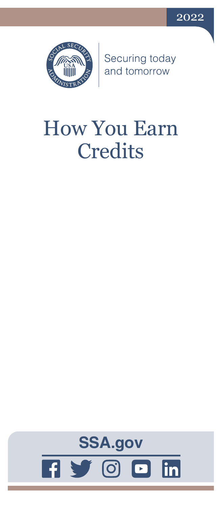



Securing today<br>and tomorrow

# How You Earn **Credits**

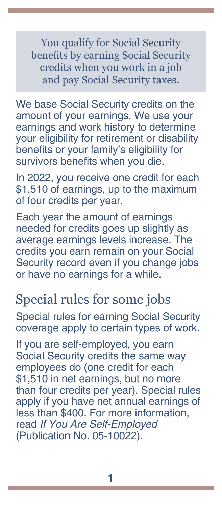You qualify for Social Security benefits by earning Social Security credits when you work in a job and pay Social Security taxes.

We base Social Security credits on the amount of your earnings. We use your earnings and work history to determine your eligibility for retirement or disability benefits or your family's eligibility for survivors benefits when you die.

In 2022, you receive one credit for each \$1,510 of earnings, up to the maximum of four credits per year.

Each year the amount of earnings needed for credits goes up slightly as average earnings levels increase. The credits you earn remain on your Social Security record even if you change jobs or have no earnings for a while.

### Special rules for some jobs

Special rules for earning Social Security coverage apply to certain types of work.

If you are self-employed, you earn Social Security credits the same way employees do (one credit for each \$1,510 in net earnings, but no more than four credits per year). Special rules apply if you have net annual earnings of less than \$400. For more information, read *[If You Are Self-Employed](https://www.ssa.gov/pubs/EN-05-10022.pdf)* [\(Publication No. 05-10022\)](https://www.ssa.gov/pubs/EN-05-10022.pdf).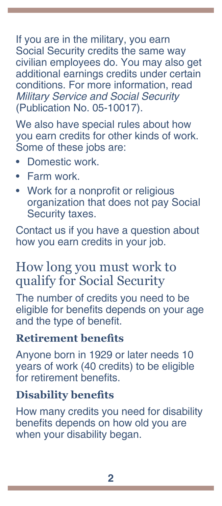If you are in the military, you earn Social Security credits the same way civilian employees do. You may also get additional earnings credits under certain conditions. For more information, read *[Military Service and Social Security](https://www.ssa.gov/pubs/EN-05-10017.pdf)* [\(Publication No. 05-10017\)](https://www.ssa.gov/pubs/EN-05-10017.pdf).

We also have special rules about how you earn credits for other kinds of work. Some of these jobs are:

- Domestic work.
- Farm work.
- Work for a nonprofit or religious organization that does not pay Social Security taxes.

Contact us if you have a question about how you earn credits in your job.

## How long you must work to qualify for Social Security

The number of credits you need to be eligible for benefits depends on your age and the type of benefit.

#### **Retirement benefits**

Anyone born in 1929 or later needs 10 years of work (40 credits) to be eligible for retirement benefits.

#### **Disability benefits**

How many credits you need for disability benefits depends on how old you are when your disability began.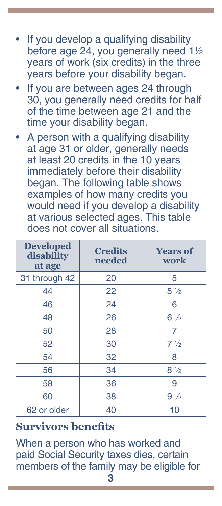- If you develop a qualifying disability before age 24, you generally need 1½ years of work (six credits) in the three years before your disability began.
- If you are between ages 24 through 30, you generally need credits for half of the time between age 21 and the time your disability began.
- A person with a qualifying disability at age 31 or older, generally needs at least 20 credits in the 10 years immediately before their disability began. The following table shows examples of how many credits you would need if you develop a disability at various selected ages. This table does not cover all situations.

| <b>Developed</b><br>disability<br>at age | <b>Credits</b><br>needed | <b>Years of</b><br>work       |
|------------------------------------------|--------------------------|-------------------------------|
| 31 through 42                            | 20                       | 5                             |
| 44                                       | 22                       | 5 <sub>2</sub>                |
| 46                                       | 24                       | 6                             |
| 48                                       | 26                       | $6\frac{1}{2}$                |
| 50                                       | 28                       | 7                             |
| 52                                       | 30                       | 7 <sup>1</sup> / <sub>2</sub> |
| 54                                       | 32                       | 8                             |
| 56                                       | 34                       | $8\frac{1}{2}$                |
| 58                                       | 36                       | 9                             |
| 60                                       | 38                       | $9\frac{1}{2}$                |
| 62 or older                              | 40                       | 10                            |

#### **Survivors benefits**

When a person who has worked and paid Social Security taxes dies, certain members of the family may be eligible for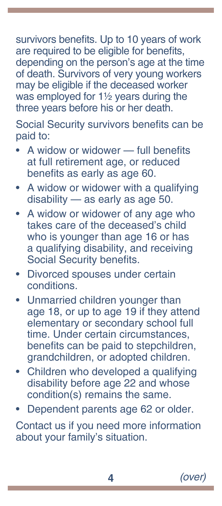survivors benefits. Up to 10 years of work are required to be eligible for benefits, depending on the person's age at the time of death. Survivors of very young workers may be eligible if the deceased worker was employed for 1½ years during the three years before his or her death.

Social Security survivors benefits can be paid to:

- A widow or widower full benefits at full retirement age, or reduced benefits as early as age 60.
- A widow or widower with a qualifying disability — as early as age 50.
- A widow or widower of any age who takes care of the deceased's child who is younger than age 16 or has a qualifying disability, and receiving Social Security benefits.
- Divorced spouses under certain conditions.
- Unmarried children younger than age 18, or up to age 19 if they attend elementary or secondary school full time. Under certain circumstances, benefits can be paid to stepchildren, grandchildren, or adopted children.
- Children who developed a qualifying disability before age 22 and whose condition(s) remains the same.
- Dependent parents age 62 or older.

Contact us if you need more information about your family's situation.

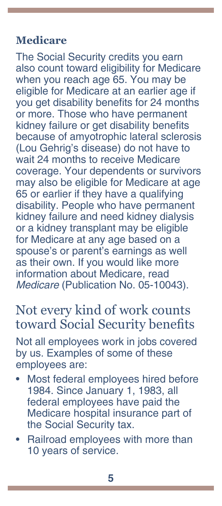#### **Medicare**

The Social Security credits you earn also count toward eligibility for Medicare when you reach age 65. You may be eligible for Medicare at an earlier age if you get disability benefits for 24 months or more. Those who have permanent kidney failure or get disability benefits because of amyotrophic lateral sclerosis (Lou Gehrig's disease) do not have to wait 24 months to receive Medicare coverage. Your dependents or survivors may also be eligible for Medicare at age 65 or earlier if they have a qualifying disability. People who have permanent kidney failure and need kidney dialysis or a kidney transplant may be eligible for Medicare at any age based on a spouse's or parent's earnings as well as their own. If you would like more information about Medicare, read *Medicare* [\(Publication No. 05-10043\)](https://www.ssa.gov/pubs/EN-05-10043.pdf).

## Not every kind of work counts toward Social Security benefits

Not all employees work in jobs covered by us. Examples of some of these employees are:

- Most federal employees hired before 1984. Since January 1, 1983, all federal employees have paid the Medicare hospital insurance part of the Social Security tax.
- Railroad employees with more than 10 years of service.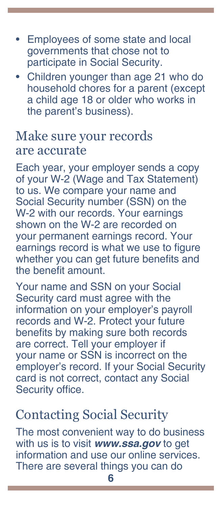- Employees of some state and local governments that chose not to participate in Social Security.
- Children younger than age 21 who do household chores for a parent (except a child age 18 or older who works in the parent's business).

## Make sure your records are accurate

Each year, your employer sends a copy of your W-2 (Wage and Tax Statement) to us. We compare your name and Social Security number (SSN) on the W-2 with our records. Your earnings shown on the W-2 are recorded on your permanent earnings record. Your earnings record is what we use to figure whether you can get future benefits and the benefit amount.

Your name and SSN on your Social Security card must agree with the information on your employer's payroll records and W-2. Protect your future benefits by making sure both records are correct. Tell your employer if your name or SSN is incorrect on the employer's record. If your Social Security card is not correct, contact any Social Security office.

## Contacting Social Security

The most convenient way to do business with us is to visit *[www.ssa.gov](https://www.ssa.gov)* to get information and use our online services. There are several things you can do